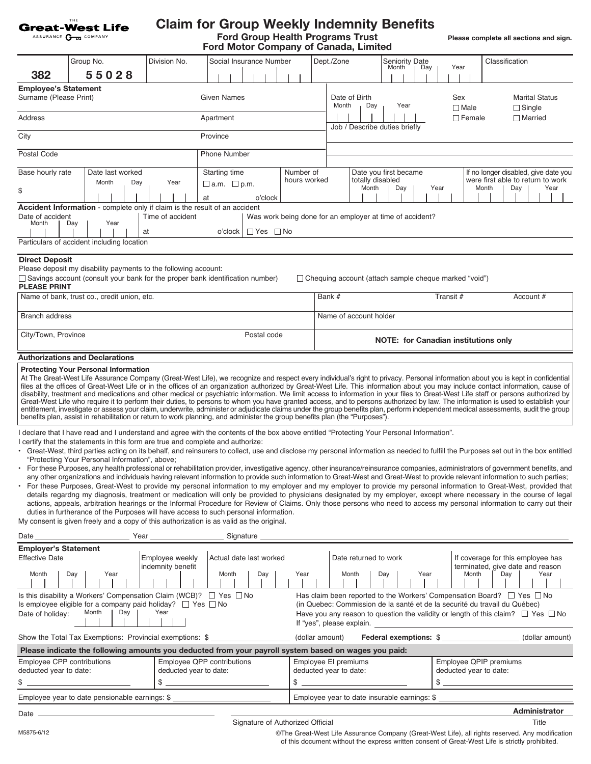|                                                               | THE<br><b>Great-West Life</b><br>ASSURANCE CHE COMPANY                                                                                                                |                                                      | <b>Claim for Group Weekly Indemnity Benefits</b><br><b>Ford Group Health Programs Trust</b><br>Ford Motor Company of Canada, Limited                                                                                                                                                                                                                                                                                                                                                                                                                                                                                                                                                                                                                                                                                                                                                                                                                                                                                                                                                                                                                                                                                                                                                                                                                                                                                                                                                                                                         |                                                                                                                                                        |                                                                                                                                                                                                                                                                                           |                                |                                 |                                                  |           |                    |       |                | Please complete all sections and sign.                                        |                 |
|---------------------------------------------------------------|-----------------------------------------------------------------------------------------------------------------------------------------------------------------------|------------------------------------------------------|----------------------------------------------------------------------------------------------------------------------------------------------------------------------------------------------------------------------------------------------------------------------------------------------------------------------------------------------------------------------------------------------------------------------------------------------------------------------------------------------------------------------------------------------------------------------------------------------------------------------------------------------------------------------------------------------------------------------------------------------------------------------------------------------------------------------------------------------------------------------------------------------------------------------------------------------------------------------------------------------------------------------------------------------------------------------------------------------------------------------------------------------------------------------------------------------------------------------------------------------------------------------------------------------------------------------------------------------------------------------------------------------------------------------------------------------------------------------------------------------------------------------------------------------|--------------------------------------------------------------------------------------------------------------------------------------------------------|-------------------------------------------------------------------------------------------------------------------------------------------------------------------------------------------------------------------------------------------------------------------------------------------|--------------------------------|---------------------------------|--------------------------------------------------|-----------|--------------------|-------|----------------|-------------------------------------------------------------------------------|-----------------|
| 382                                                           | Group No.<br>55028                                                                                                                                                    | Division No.                                         | Social Insurance Number                                                                                                                                                                                                                                                                                                                                                                                                                                                                                                                                                                                                                                                                                                                                                                                                                                                                                                                                                                                                                                                                                                                                                                                                                                                                                                                                                                                                                                                                                                                      |                                                                                                                                                        | Dept./Zone                                                                                                                                                                                                                                                                                |                                | Month                           | <b>Seniority Date</b><br>Day                     |           | Year               |       | Classification |                                                                               |                 |
| <b>Employee's Statement</b><br>Surname (Please Print)         |                                                                                                                                                                       |                                                      | <b>Given Names</b>                                                                                                                                                                                                                                                                                                                                                                                                                                                                                                                                                                                                                                                                                                                                                                                                                                                                                                                                                                                                                                                                                                                                                                                                                                                                                                                                                                                                                                                                                                                           |                                                                                                                                                        | Month                                                                                                                                                                                                                                                                                     | Date of Birth<br>Day           |                                 | Year                                             |           | Sex<br>$\Box$ Male |       |                | <b>Marital Status</b><br>$\Box$ Single                                        |                 |
| Address                                                       |                                                                                                                                                                       | Apartment                                            |                                                                                                                                                                                                                                                                                                                                                                                                                                                                                                                                                                                                                                                                                                                                                                                                                                                                                                                                                                                                                                                                                                                                                                                                                                                                                                                                                                                                                                                                                                                                              |                                                                                                                                                        |                                                                                                                                                                                                                                                                                           |                                | $\Box$ Married<br>$\Box$ Female |                                                  |           |                    |       |                |                                                                               |                 |
| City                                                          |                                                                                                                                                                       |                                                      | Province                                                                                                                                                                                                                                                                                                                                                                                                                                                                                                                                                                                                                                                                                                                                                                                                                                                                                                                                                                                                                                                                                                                                                                                                                                                                                                                                                                                                                                                                                                                                     |                                                                                                                                                        | Job / Describe duties briefly                                                                                                                                                                                                                                                             |                                |                                 |                                                  |           |                    |       |                |                                                                               |                 |
| Postal Code                                                   |                                                                                                                                                                       |                                                      | <b>Phone Number</b>                                                                                                                                                                                                                                                                                                                                                                                                                                                                                                                                                                                                                                                                                                                                                                                                                                                                                                                                                                                                                                                                                                                                                                                                                                                                                                                                                                                                                                                                                                                          |                                                                                                                                                        |                                                                                                                                                                                                                                                                                           |                                |                                 |                                                  |           |                    |       |                |                                                                               |                 |
| Base hourly rate                                              | Date last worked                                                                                                                                                      |                                                      | Starting time                                                                                                                                                                                                                                                                                                                                                                                                                                                                                                                                                                                                                                                                                                                                                                                                                                                                                                                                                                                                                                                                                                                                                                                                                                                                                                                                                                                                                                                                                                                                | Number of                                                                                                                                              |                                                                                                                                                                                                                                                                                           | Date you first became          |                                 |                                                  |           |                    |       |                | If no longer disabled, give date you                                          |                 |
| \$                                                            | Month<br>Day                                                                                                                                                          | Year                                                 | $\Box$ a.m. $\Box$ p.m.<br>o'clock<br>at                                                                                                                                                                                                                                                                                                                                                                                                                                                                                                                                                                                                                                                                                                                                                                                                                                                                                                                                                                                                                                                                                                                                                                                                                                                                                                                                                                                                                                                                                                     | hours worked                                                                                                                                           |                                                                                                                                                                                                                                                                                           | totally disabled<br>Month      | Day                             |                                                  | Year      |                    | Month | Day            | were first able to return to work                                             | Year            |
| Date of accident<br>Month                                     | Accident Information - complete only if claim is the result of an accident<br>Year<br>Day<br>Particulars of accident including location                               | Time of accident<br>at                               | $\Box$ Yes $\Box$ No<br>o'clock                                                                                                                                                                                                                                                                                                                                                                                                                                                                                                                                                                                                                                                                                                                                                                                                                                                                                                                                                                                                                                                                                                                                                                                                                                                                                                                                                                                                                                                                                                              | Was work being done for an employer at time of accident?                                                                                               |                                                                                                                                                                                                                                                                                           |                                |                                 |                                                  |           |                    |       |                |                                                                               |                 |
| <b>Direct Deposit</b><br><b>PLEASE PRINT</b>                  | Please deposit my disability payments to the following account:<br>Name of bank, trust co., credit union, etc.                                                        |                                                      | $\Box$ Savings account (consult your bank for the proper bank identification number)                                                                                                                                                                                                                                                                                                                                                                                                                                                                                                                                                                                                                                                                                                                                                                                                                                                                                                                                                                                                                                                                                                                                                                                                                                                                                                                                                                                                                                                         |                                                                                                                                                        | $\Box$ Chequing account (attach sample cheque marked "void")<br>Bank #                                                                                                                                                                                                                    |                                |                                 |                                                  | Transit # |                    |       |                | Account #                                                                     |                 |
| <b>Branch address</b>                                         |                                                                                                                                                                       |                                                      |                                                                                                                                                                                                                                                                                                                                                                                                                                                                                                                                                                                                                                                                                                                                                                                                                                                                                                                                                                                                                                                                                                                                                                                                                                                                                                                                                                                                                                                                                                                                              |                                                                                                                                                        | Name of account holder                                                                                                                                                                                                                                                                    |                                |                                 |                                                  |           |                    |       |                |                                                                               |                 |
| City/Town, Province                                           |                                                                                                                                                                       |                                                      | Postal code                                                                                                                                                                                                                                                                                                                                                                                                                                                                                                                                                                                                                                                                                                                                                                                                                                                                                                                                                                                                                                                                                                                                                                                                                                                                                                                                                                                                                                                                                                                                  | NOTE: for Canadian institutions only                                                                                                                   |                                                                                                                                                                                                                                                                                           |                                |                                 |                                                  |           |                    |       |                |                                                                               |                 |
|                                                               | Authorizations and Declarations<br><b>Protecting Your Personal Information</b>                                                                                        |                                                      | At The Great-West Life Assurance Company (Great-West Life), we recognize and respect every individual's right to privacy. Personal information about you is kept in confidential<br>files at the offices of Great-West Life or in the offices of an organization authorized by Great-West Life. This information about you may include contact information, cause of<br>disability, treatment and medications and other medical or psychiatric information. We limit access to information in your files to Great-West Life staff or persons authorized by<br>Great-West Life who require it to perform their duties, to persons to whom you have granted access, and to persons authorized by law. The information is used to establish your<br>entitlement, investigate or assess your claim, underwrite, administer or adjudicate claims under the group benefits plan, perform independent medical assessments, audit the group                                                                                                                                                                                                                                                                                                                                                                                                                                                                                                                                                                                                          |                                                                                                                                                        |                                                                                                                                                                                                                                                                                           |                                |                                 |                                                  |           |                    |       |                |                                                                               |                 |
|                                                               | I certify that the statements in this form are true and complete and authorize:<br>"Protecting Your Personal Information", above;                                     |                                                      | benefits plan, assist in rehabilitation or return to work planning, and administer the group benefits plan (the "Purposes").<br>I declare that I have read and I understand and agree with the contents of the box above entitled "Protecting Your Personal Information".<br>Great-West, third parties acting on its behalf, and reinsurers to collect, use and disclose my personal information as needed to fulfill the Purposes set out in the box entitled<br>For these Purposes, any health professional or rehabilitation provider, investigative agency, other insurance/reinsurance companies, administrators of government benefits, and<br>any other organizations and individuals having relevant information to provide such information to Great-West and Great-West to provide relevant information to such parties;<br>For these Purposes, Great-West to provide my personal information to my employer and my employer to provide my personal information to Great-West, provided that<br>details regardng my diagnosis, treatment or medication will only be provided to physicians designated by my employer, except where necessary in the course of legal<br>actions, appeals, arbitration hearings or the Informal Procedure for Review of Claims. Only those persons who need to access my personal information to carry out their<br>duties in furtherance of the Purposes will have access to such personal information.<br>My consent is given freely and a copy of this authorization is as valid as the original. |                                                                                                                                                        |                                                                                                                                                                                                                                                                                           |                                |                                 |                                                  |           |                    |       |                |                                                                               |                 |
| Date_                                                         |                                                                                                                                                                       |                                                      | Signature                                                                                                                                                                                                                                                                                                                                                                                                                                                                                                                                                                                                                                                                                                                                                                                                                                                                                                                                                                                                                                                                                                                                                                                                                                                                                                                                                                                                                                                                                                                                    |                                                                                                                                                        |                                                                                                                                                                                                                                                                                           |                                |                                 |                                                  |           |                    |       |                |                                                                               |                 |
| <b>Employer's Statement</b><br><b>Effective Date</b><br>Month | Day<br>Year                                                                                                                                                           | Employee weekly<br>indemnity benefit                 | Actual date last worked<br>Month<br>Day                                                                                                                                                                                                                                                                                                                                                                                                                                                                                                                                                                                                                                                                                                                                                                                                                                                                                                                                                                                                                                                                                                                                                                                                                                                                                                                                                                                                                                                                                                      | Year                                                                                                                                                   |                                                                                                                                                                                                                                                                                           | Date returned to work<br>Month | Day                             | Year                                             |           |                    | Month | Day            | If coverage for this employee has<br>terminated, give date and reason<br>Year |                 |
| Date of holiday:                                              | Is this disability a Workers' Compensation Claim (WCB)? $\Box$ Yes $\Box$ No<br>Is employee eligible for a company paid holiday? $\Box$ Yes $\Box$ No<br>Month<br>Day | Year                                                 |                                                                                                                                                                                                                                                                                                                                                                                                                                                                                                                                                                                                                                                                                                                                                                                                                                                                                                                                                                                                                                                                                                                                                                                                                                                                                                                                                                                                                                                                                                                                              |                                                                                                                                                        | Has claim been reported to the Workers' Compensation Board? $\Box$ Yes $\Box$ No<br>(in Quebec: Commission de la santé et de la securité du travail du Québec)<br>Have you any reason to question the validity or length of this claim? $\Box$ Yes $\Box$ No<br>If "yes", please explain. |                                |                                 |                                                  |           |                    |       |                |                                                                               |                 |
|                                                               | Show the Total Tax Exemptions: Provincial exemptions: \$                                                                                                              |                                                      |                                                                                                                                                                                                                                                                                                                                                                                                                                                                                                                                                                                                                                                                                                                                                                                                                                                                                                                                                                                                                                                                                                                                                                                                                                                                                                                                                                                                                                                                                                                                              |                                                                                                                                                        | (dollar amount)                                                                                                                                                                                                                                                                           |                                |                                 | Federal exemptions: \$                           |           |                    |       |                |                                                                               | (dollar amount) |
| Employee CPP contributions<br>deducted year to date:<br>\$    |                                                                                                                                                                       | Employee QPP contributions<br>deducted year to date: | $$ -$                                                                                                                                                                                                                                                                                                                                                                                                                                                                                                                                                                                                                                                                                                                                                                                                                                                                                                                                                                                                                                                                                                                                                                                                                                                                                                                                                                                                                                                                                                                                        | Please indicate the following amounts you deducted from your payroll system based on wages you paid:<br>Employee EI premiums<br>deducted year to date: |                                                                                                                                                                                                                                                                                           |                                |                                 | Employee QPIP premiums<br>deducted year to date: |           |                    |       |                |                                                                               |                 |
|                                                               | Employee year to date pensionable earnings: \$                                                                                                                        |                                                      |                                                                                                                                                                                                                                                                                                                                                                                                                                                                                                                                                                                                                                                                                                                                                                                                                                                                                                                                                                                                                                                                                                                                                                                                                                                                                                                                                                                                                                                                                                                                              |                                                                                                                                                        | Employee year to date insurable earnings: \$                                                                                                                                                                                                                                              |                                |                                 |                                                  |           |                    |       |                |                                                                               |                 |
|                                                               |                                                                                                                                                                       |                                                      | Signature of Authorized Official                                                                                                                                                                                                                                                                                                                                                                                                                                                                                                                                                                                                                                                                                                                                                                                                                                                                                                                                                                                                                                                                                                                                                                                                                                                                                                                                                                                                                                                                                                             |                                                                                                                                                        |                                                                                                                                                                                                                                                                                           |                                |                                 |                                                  |           |                    |       |                | Administrator<br>Title                                                        |                 |

M5875-6/12 ©The Great-West Life Assurance Company (Great-West Life), all rights reserved. Any modification of this document without the express written consent of Great-West Life is strictly prohibited.